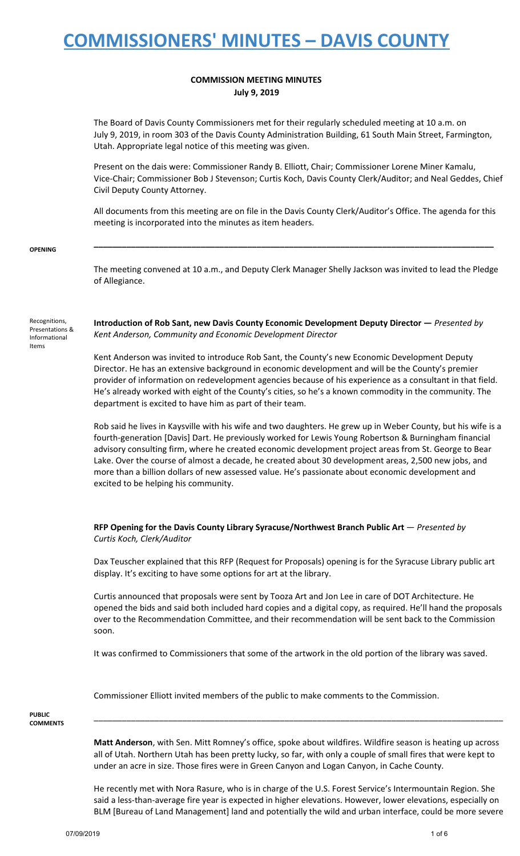### **COMMISSION MEETING MINUTES July 9, 2019**

The Board of Davis County Commissioners met for their regularly scheduled meeting at 10 a.m. on July 9, 2019, in room 303 of the Davis County Administration Building, 61 South Main Street, Farmington, Utah. Appropriate legal notice of this meeting was given.

Present on the dais were: Commissioner Randy B. Elliott, Chair; Commissioner Lorene Miner Kamalu, Vice-Chair; Commissioner Bob J Stevenson; Curtis Koch, Davis County Clerk/Auditor; and Neal Geddes, Chief Civil Deputy County Attorney.

All documents from this meeting are on file in the Davis County Clerk/Auditor's Office. The agenda for this meeting is incorporated into the minutes as item headers.

**\_\_\_\_\_\_\_\_\_\_\_\_\_\_\_\_\_\_\_\_\_\_\_\_\_\_\_\_\_\_\_\_\_\_\_\_\_\_\_\_\_\_\_\_\_\_\_\_\_\_\_\_\_\_\_\_\_\_\_\_\_\_\_\_\_\_\_\_\_\_\_\_\_\_\_\_\_\_\_\_\_\_\_\_\_\_**

**OPENING**

The meeting convened at 10 a.m., and Deputy Clerk Manager Shelly Jackson was invited to lead the Pledge of Allegiance.

Recognitions, Presentations & Informational Items

**Introduction of Rob Sant, new Davis County Economic Development Deputy Director —** *Presented by Kent Anderson, Community and Economic Development Director*

Kent Anderson was invited to introduce Rob Sant, the County's new Economic Development Deputy Director. He has an extensive background in economic development and will be the County's premier provider of information on redevelopment agencies because of his experience as a consultant in that field. He's already worked with eight of the County's cities, so he's a known commodity in the community. The department is excited to have him as part of their team.

Rob said he lives in Kaysville with his wife and two daughters. He grew up in Weber County, but his wife is a fourth-generation [Davis] Dart. He previously worked for Lewis Young Robertson & Burningham financial advisory consulting firm, where he created economic development project areas from St. George to Bear Lake. Over the course of almost a decade, he created about 30 development areas, 2,500 new jobs, and more than a billion dollars of new assessed value. He's passionate about economic development and excited to be helping his community.

**RFP Opening for the Davis County Library Syracuse/Northwest Branch Public Art** — *Presented by Curtis Koch, Clerk/Auditor*

Dax Teuscher explained that this RFP (Request for Proposals) opening is for the Syracuse Library public art display. It's exciting to have some options for art at the library.

Curtis announced that proposals were sent by Tooza Art and Jon Lee in care of DOT Architecture. He opened the bids and said both included hard copies and a digital copy, as required. He'll hand the proposals over to the Recommendation Committee, and their recommendation will be sent back to the Commission soon.

It was confirmed to Commissioners that some of the artwork in the old portion of the library was saved.

Commissioner Elliott invited members of the public to make comments to the Commission.

**PUBLIC COMMENTS**

> **Matt Anderson**, with Sen. Mitt Romney's office, spoke about wildfires. Wildfire season is heating up across all of Utah. Northern Utah has been pretty lucky, so far, with only a couple of small fires that were kept to under an acre in size. Those fires were in Green Canyon and Logan Canyon, in Cache County.

> \_\_\_\_\_\_\_\_\_\_\_\_\_\_\_\_\_\_\_\_\_\_\_\_\_\_\_\_\_\_\_\_\_\_\_\_\_\_\_\_\_\_\_\_\_\_\_\_\_\_\_\_\_\_\_\_\_\_\_\_\_\_\_\_\_\_\_\_\_\_\_\_\_\_\_\_\_\_\_\_\_\_\_\_\_\_\_\_

He recently met with Nora Rasure, who is in charge of the U.S. Forest Service's Intermountain Region. She said a less-than-average fire year is expected in higher elevations. However, lower elevations, especially on BLM [Bureau of Land Management] land and potentially the wild and urban interface, could be more severe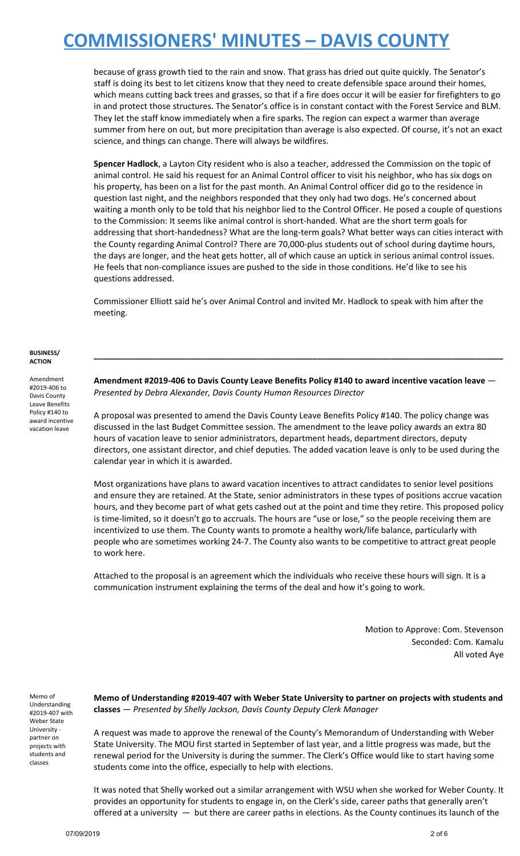because of grass growth tied to the rain and snow. That grass has dried out quite quickly. The Senator's staff is doing its best to let citizens know that they need to create defensible space around their homes, which means cutting back trees and grasses, so that if a fire does occur it will be easier for firefighters to go in and protect those structures. The Senator's office is in constant contact with the Forest Service and BLM. They let the staff know immediately when a fire sparks. The region can expect a warmer than average summer from here on out, but more precipitation than average is also expected. Of course, it's not an exact science, and things can change. There will always be wildfires.

**Spencer Hadlock**, a Layton City resident who is also a teacher, addressed the Commission on the topic of animal control. He said his request for an Animal Control officer to visit his neighbor, who has six dogs on his property, has been on a list for the past month. An Animal Control officer did go to the residence in question last night, and the neighbors responded that they only had two dogs. He's concerned about waiting a month only to be told that his neighbor lied to the Control Officer. He posed a couple of questions to the Commission: It seems like animal control is short-handed. What are the short term goals for addressing that short-handedness? What are the long-term goals? What better ways can cities interact with the County regarding Animal Control? There are 70,000-plus students out of school during daytime hours, the days are longer, and the heat gets hotter, all of which cause an uptick in serious animal control issues. He feels that non-compliance issues are pushed to the side in those conditions. He'd like to see his questions addressed.

Commissioner Elliott said he's over Animal Control and invited Mr. Hadlock to speak with him after the meeting.

#### **BUSINESS/ ACTION**

Amendment #2019-406 to Davis County Leave Benefits Policy #140 to award incentive vacation leave

**Amendment #2019-406 to Davis County Leave Benefits Policy #140 to award incentive vacation leave** — *Presented by Debra Alexander, Davis County Human Resources Director*

**\_\_\_\_\_\_\_\_\_\_\_\_\_\_\_\_\_\_\_\_\_\_\_\_\_\_\_\_\_\_\_\_\_\_\_\_\_\_\_\_\_\_\_\_\_\_\_\_\_\_\_\_\_\_\_\_\_\_\_\_\_\_\_\_\_\_\_\_\_\_\_\_\_\_\_\_\_\_\_\_\_\_\_\_\_\_\_\_**

A proposal was presented to amend the Davis County Leave Benefits Policy #140. The policy change was discussed in the last Budget Committee session. The amendment to the leave policy awards an extra 80 hours of vacation leave to senior administrators, department heads, department directors, deputy directors, one assistant director, and chief deputies. The added vacation leave is only to be used during the calendar year in which it is awarded.

Most organizations have plans to award vacation incentives to attract candidates to senior level positions and ensure they are retained. At the State, senior administrators in these types of positions accrue vacation hours, and they become part of what gets cashed out at the point and time they retire. This proposed policy is time-limited, so it doesn't go to accruals. The hours are "use or lose," so the people receiving them are incentivized to use them. The County wants to promote a healthy work/life balance, particularly with people who are sometimes working 24-7. The County also wants to be competitive to attract great people to work here.

Attached to the proposal is an agreement which the individuals who receive these hours will sign. It is a communication instrument explaining the terms of the deal and how it's going to work.

> Motion to Approve: Com. Stevenson Seconded: Com. Kamalu All voted Aye

Memo of Understanding #2019-407 with Weber State University partner on projects with students and classes

**Memo of Understanding #2019-407 with Weber State University to partner on projects with students and classes** — *Presented by Shelly Jackson, Davis County Deputy Clerk Manager*

A request was made to approve the renewal of the County's Memorandum of Understanding with Weber State University. The MOU first started in September of last year, and a little progress was made, but the renewal period for the University is during the summer. The Clerk's Office would like to start having some students come into the office, especially to help with elections.

It was noted that Shelly worked out a similar arrangement with WSU when she worked for Weber County. It provides an opportunity for students to engage in, on the Clerk's side, career paths that generally aren't offered at a university — but there are career paths in elections. As the County continues its launch of the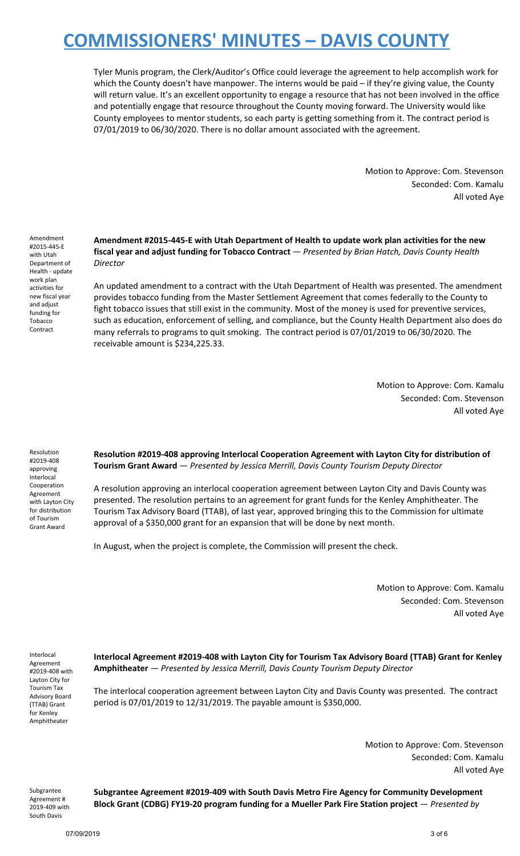Tyler Munis program, the Clerk/Auditor's Office could leverage the agreement to help accomplish work for which the County doesn't have manpower. The interns would be paid - if they're giving value, the County will return value. It's an excellent opportunity to engage a resource that has not been involved in the office and potentially engage that resource throughout the County moving forward. The University would like County employees to mentor students, so each party is getting something from it. The contract period is 07/01/2019 to 06/30/2020. There is no dollar amount associated with the agreement.

> Motion to Approve: Com. Stevenson Seconded: Com. Kamalu All voted Aye

Amendment #2015-445-E with Utah Department of Health - update work plan activities for new fiscal year and adjust funding for Tobacco Contract

**Amendment #2015-445-E with Utah Department of Health to update work plan activities for the new fiscal year and adjust funding for Tobacco Contract** — *Presented by Brian Hatch, Davis County Health Director*

An updated amendment to a contract with the Utah Department of Health was presented. The amendment provides tobacco funding from the Master Settlement Agreement that comes federally to the County to fight tobacco issues that still exist in the community. Most of the money is used for preventive services, such as education, enforcement of selling, and compliance, but the County Health Department also does do many referrals to programs to quit smoking. The contract period is 07/01/2019 to 06/30/2020. The receivable amount is \$234,225.33.

> Motion to Approve: Com. Kamalu Seconded: Com. Stevenson All voted Aye

Resolution #2019-408 approving Interlocal Cooperation Agreement with Layton City for distribution of Tourism Grant Award

**Resolution #2019-408 approving Interlocal Cooperation Agreement with Layton City for distribution of Tourism Grant Award** — *Presented by Jessica Merrill, Davis County Tourism Deputy Director*

A resolution approving an interlocal cooperation agreement between Layton City and Davis County was presented. The resolution pertains to an agreement for grant funds for the Kenley Amphitheater. The Tourism Tax Advisory Board (TTAB), of last year, approved bringing this to the Commission for ultimate approval of a \$350,000 grant for an expansion that will be done by next month.

In August, when the project is complete, the Commission will present the check.

Motion to Approve: Com. Kamalu Seconded: Com. Stevenson All voted Aye

Interlocal Agreement #2019-408 with Layton City for Tourism Tax Advisory Board (TTAB) Grant for Kenley Amphitheater

**Interlocal Agreement #2019-408 with Layton City for Tourism Tax Advisory Board (TTAB) Grant for Kenley Amphitheater** — *Presented by Jessica Merrill, Davis County Tourism Deputy Director*

The interlocal cooperation agreement between Layton City and Davis County was presented. The contract period is 07/01/2019 to 12/31/2019. The payable amount is \$350,000.

> Motion to Approve: Com. Stevenson Seconded: Com. Kamalu All voted Aye

Subgrantee Agreement # 2019-409 with South Davis

**Subgrantee Agreement #2019-409 with South Davis Metro Fire Agency for Community Development Block Grant (CDBG) FY19-20 program funding for a Mueller Park Fire Station project** — *Presented by*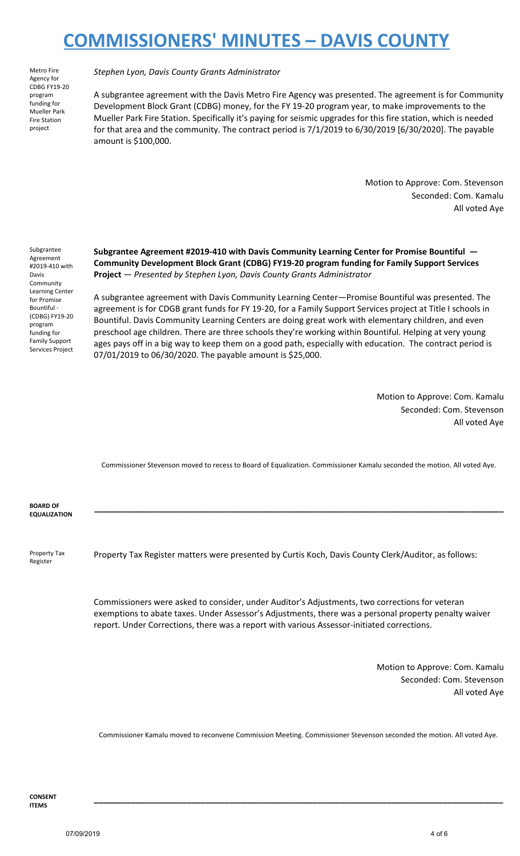Metro Fire Agency for CDBG FY19-20 program funding for Mueller Park Fire Station project

*Stephen Lyon, Davis County Grants Administrator*

A subgrantee agreement with the Davis Metro Fire Agency was presented. The agreement is for Community Development Block Grant (CDBG) money, for the FY 19-20 program year, to make improvements to the Mueller Park Fire Station. Specifically it's paying for seismic upgrades for this fire station, which is needed for that area and the community. The contract period is 7/1/2019 to 6/30/2019 [6/30/2020]. The payable amount is \$100,000.

> Motion to Approve: Com. Stevenson Seconded: Com. Kamalu All voted Aye

Subgrantee Agreement #2019-410 with Davis Community Learning Center for Promise Bountiful - (CDBG) FY19-20 program funding for Family Support Services Project **Subgrantee Agreement #2019-410 with Davis Community Learning Center for Promise Bountiful — Community Development Block Grant (CDBG) FY19-20 program funding for Family Support Services Project** — *Presented by Stephen Lyon, Davis County Grants Administrator*

A subgrantee agreement with Davis Community Learning Center—Promise Bountiful was presented. The agreement is for CDGB grant funds for FY 19-20, for a Family Support Services project at Title I schools in Bountiful. Davis Community Learning Centers are doing great work with elementary children, and even preschool age children. There are three schools they're working within Bountiful. Helping at very young ages pays off in a big way to keep them on a good path, especially with education. The contract period is 07/01/2019 to 06/30/2020. The payable amount is \$25,000.

> Motion to Approve: Com. Kamalu Seconded: Com. Stevenson All voted Aye

Commissioner Stevenson moved to recess to Board of Equalization. Commissioner Kamalu seconded the motion. All voted Aye.

**\_\_\_\_\_\_\_\_\_\_\_\_\_\_\_\_\_\_\_\_\_\_\_\_\_\_\_\_\_\_\_\_\_\_\_\_\_\_\_\_\_\_\_\_\_\_\_\_\_\_\_\_\_\_\_\_\_\_\_\_\_\_\_\_\_\_\_\_\_\_\_\_\_\_\_\_\_\_\_\_\_\_\_\_\_\_\_\_**

**BOARD OF EQUALIZATION**

Property Tax Register

Property Tax Register matters were presented by Curtis Koch, Davis County Clerk/Auditor, as follows:

Commissioners were asked to consider, under Auditor's Adjustments, two corrections for veteran exemptions to abate taxes. Under Assessor's Adjustments, there was a personal property penalty waiver report. Under Corrections, there was a report with various Assessor-initiated corrections.

> Motion to Approve: Com. Kamalu Seconded: Com. Stevenson All voted Aye

Commissioner Kamalu moved to reconvene Commission Meeting. Commissioner Stevenson seconded the motion. All voted Aye.

**\_\_\_\_\_\_\_\_\_\_\_\_\_\_\_\_\_\_\_\_\_\_\_\_\_\_\_\_\_\_\_\_\_\_\_\_\_\_\_\_\_\_\_\_\_\_\_\_\_\_\_\_\_\_\_\_\_\_\_\_\_\_\_\_\_\_\_\_\_\_\_\_\_\_\_\_\_\_\_\_\_\_\_\_\_\_\_\_**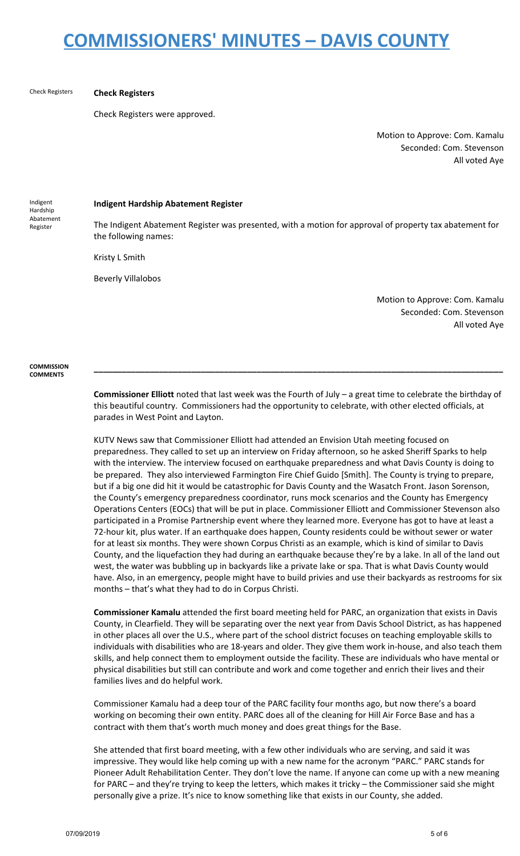#### Check Registers **Check Registers**

Check Registers were approved.

Motion to Approve: Com. Kamalu Seconded: Com. Stevenson All voted Aye

Indigent Hardship Abatement Register

#### **Indigent Hardship Abatement Register**

The Indigent Abatement Register was presented, with a motion for approval of property tax abatement for the following names:

Kristy L Smith

Beverly Villalobos

Motion to Approve: Com. Kamalu Seconded: Com. Stevenson All voted Aye

**COMMISSION COMMENTS**

> **Commissioner Elliott** noted that last week was the Fourth of July – a great time to celebrate the birthday of this beautiful country. Commissioners had the opportunity to celebrate, with other elected officials, at parades in West Point and Layton.

> **\_\_\_\_\_\_\_\_\_\_\_\_\_\_\_\_\_\_\_\_\_\_\_\_\_\_\_\_\_\_\_\_\_\_\_\_\_\_\_\_\_\_\_\_\_\_\_\_\_\_\_\_\_\_\_\_\_\_\_\_\_\_\_\_\_\_\_\_\_\_\_\_\_\_\_\_\_\_\_\_\_\_\_\_\_\_\_\_**

KUTV News saw that Commissioner Elliott had attended an Envision Utah meeting focused on preparedness. They called to set up an interview on Friday afternoon, so he asked Sheriff Sparks to help with the interview. The interview focused on earthquake preparedness and what Davis County is doing to be prepared. They also interviewed Farmington Fire Chief Guido [Smith]. The County is trying to prepare, but if a big one did hit it would be catastrophic for Davis County and the Wasatch Front. Jason Sorenson, the County's emergency preparedness coordinator, runs mock scenarios and the County has Emergency Operations Centers (EOCs) that will be put in place. Commissioner Elliott and Commissioner Stevenson also participated in a Promise Partnership event where they learned more. Everyone has got to have at least a 72-hour kit, plus water. If an earthquake does happen, County residents could be without sewer or water for at least six months. They were shown Corpus Christi as an example, which is kind of similar to Davis County, and the liquefaction they had during an earthquake because they're by a lake. In all of the land out west, the water was bubbling up in backyards like a private lake or spa. That is what Davis County would have. Also, in an emergency, people might have to build privies and use their backyards as restrooms for six months – that's what they had to do in Corpus Christi.

**Commissioner Kamalu** attended the first board meeting held for PARC, an organization that exists in Davis County, in Clearfield. They will be separating over the next year from Davis School District, as has happened in other places all over the U.S., where part of the school district focuses on teaching employable skills to individuals with disabilities who are 18-years and older. They give them work in-house, and also teach them skills, and help connect them to employment outside the facility. These are individuals who have mental or physical disabilities but still can contribute and work and come together and enrich their lives and their families lives and do helpful work.

Commissioner Kamalu had a deep tour of the PARC facility four months ago, but now there's a board working on becoming their own entity. PARC does all of the cleaning for Hill Air Force Base and has a contract with them that's worth much money and does great things for the Base.

She attended that first board meeting, with a few other individuals who are serving, and said it was impressive. They would like help coming up with a new name for the acronym "PARC." PARC stands for Pioneer Adult Rehabilitation Center. They don't love the name. If anyone can come up with a new meaning for PARC – and they're trying to keep the letters, which makes it tricky – the Commissioner said she might personally give a prize. It's nice to know something like that exists in our County, she added.